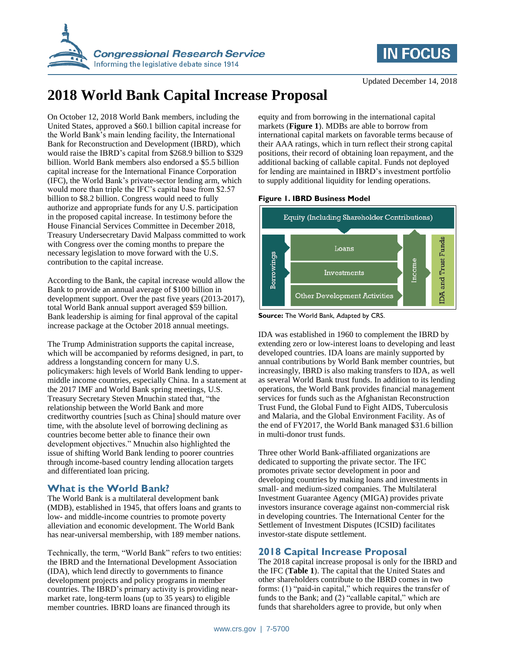



# **2018 World Bank Capital Increase Proposal**

On October 12, 2018 World Bank members, including the United States, approved a \$60.1 billion capital increase for the World Bank's main lending facility, the International Bank for Reconstruction and Development (IBRD), which would raise the IBRD's capital from \$268.9 billion to \$329 billion. World Bank members also endorsed a \$5.5 billion capital increase for the International Finance Corporation (IFC), the World Bank's private-sector lending arm, which would more than triple the IFC's capital base from \$2.57 billion to \$8.2 billion. Congress would need to fully authorize and appropriate funds for any U.S. participation in the proposed capital increase. In testimony before the House Financial Services Committee in December 2018, Treasury Undersecretary David Malpass committed to work with Congress over the coming months to prepare the necessary legislation to move forward with the U.S. contribution to the capital increase.

According to the Bank, the capital increase would allow the Bank to provide an annual average of \$100 billion in development support. Over the past five years (2013-2017), total World Bank annual support averaged \$59 billion. Bank leadership is aiming for final approval of the capital increase package at the October 2018 annual meetings.

The Trump Administration supports the capital increase, which will be accompanied by reforms designed, in part, to address a longstanding concern for many U.S. policymakers: high levels of World Bank lending to uppermiddle income countries, especially China. In a statement at the 2017 IMF and World Bank spring meetings, U.S. Treasury Secretary Steven Mnuchin stated that, "the relationship between the World Bank and more creditworthy countries [such as China] should mature over time, with the absolute level of borrowing declining as countries become better able to finance their own development objectives." Mnuchin also highlighted the issue of shifting World Bank lending to poorer countries through income-based country lending allocation targets and differentiated loan pricing.

### **What is the World Bank?**

The World Bank is a multilateral development bank (MDB), established in 1945, that offers loans and grants to low- and middle-income countries to promote poverty alleviation and economic development. The World Bank has near-universal membership, with 189 member nations.

Technically, the term, "World Bank" refers to two entities: the IBRD and the International Development Association (IDA), which lend directly to governments to finance development projects and policy programs in member countries. The IBRD's primary activity is providing nearmarket rate, long-term loans (up to 35 years) to eligible member countries. IBRD loans are financed through its

equity and from borrowing in the international capital markets (**Figure 1**). MDBs are able to borrow from international capital markets on favorable terms because of their AAA ratings, which in turn reflect their strong capital positions, their record of obtaining loan repayment, and the additional backing of callable capital. Funds not deployed for lending are maintained in IBRD's investment portfolio to supply additional liquidity for lending operations.

#### **Figure 1. IBRD Business Model**



**Source:** The World Bank, Adapted by CRS.

IDA was established in 1960 to complement the IBRD by extending zero or low-interest loans to developing and least developed countries. IDA loans are mainly supported by annual contributions by World Bank member countries, but increasingly, IBRD is also making transfers to IDA, as well as several World Bank trust funds. In addition to its lending operations, the World Bank provides financial management services for funds such as the Afghanistan Reconstruction Trust Fund, the Global Fund to Fight AIDS, Tuberculosis and Malaria, and the Global Environment Facility. As of the end of FY2017, the World Bank managed \$31.6 billion in multi-donor trust funds.

Three other World Bank-affiliated organizations are dedicated to supporting the private sector. The IFC promotes private sector development in poor and developing countries by making loans and investments in small- and medium-sized companies. The Multilateral Investment Guarantee Agency (MIGA) provides private investors insurance coverage against non-commercial risk in developing countries. The International Center for the Settlement of Investment Disputes (ICSID) facilitates investor-state dispute settlement.

## **2018 Capital Increase Proposal**

The 2018 capital increase proposal is only for the IBRD and the IFC (**Table 1**). The capital that the United States and other shareholders contribute to the IBRD comes in two forms: (1) "paid-in capital," which requires the transfer of funds to the Bank; and (2) "callable capital," which are funds that shareholders agree to provide, but only when